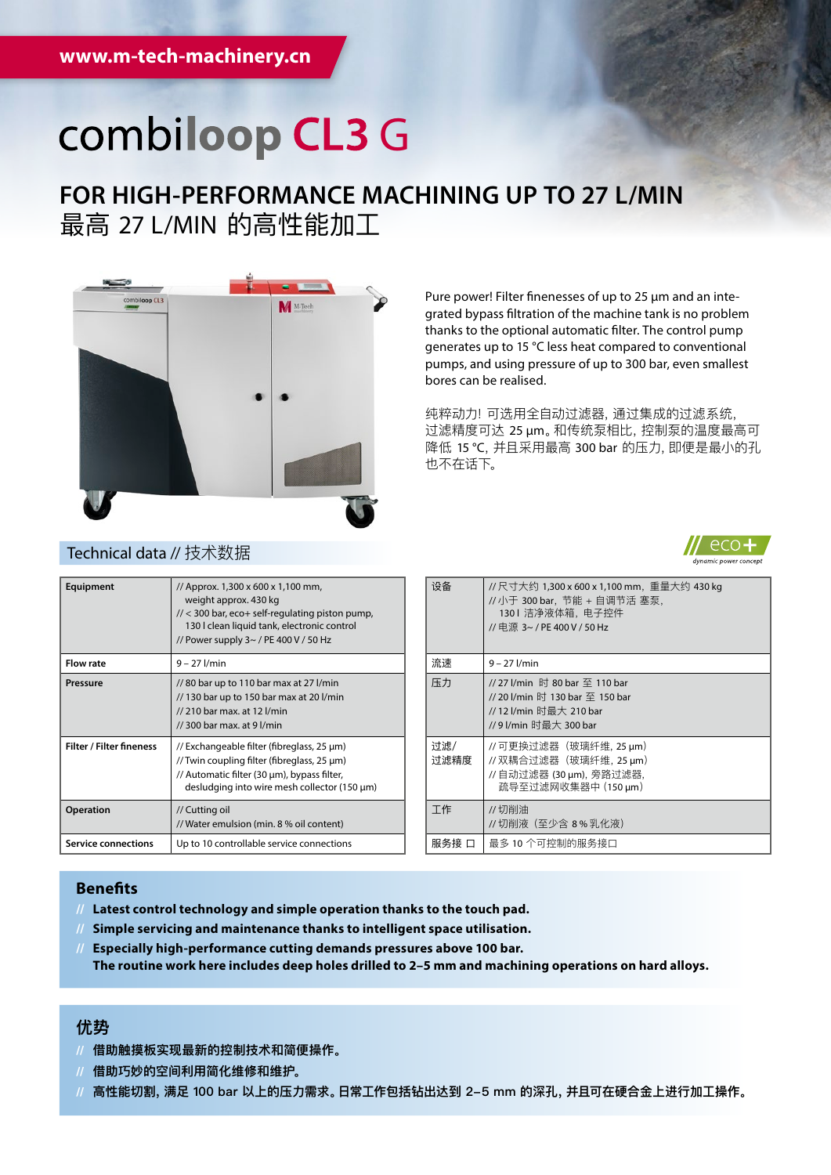# combiloop CL3 G

## **FOR HIGH-PERFORMANCE MACHINING UP TO 27 L/MIN** 最高 27 L/MIN 的高性能加工



Technical data // 技术数据

Pure power! Filter finenesses of up to 25 μm and an integrated bypass filtration of the machine tank is no problem thanks to the optional automatic filter. The control pump generates up to 15 °C less heat compared to conventional pumps, and using pressure of up to 300 bar, even smallest bores can be realised.

纯粹动力! 可选用全自动过滤器,通过集成的过滤系统, 过滤精度可达 25 μm。和传统泵相比,控制泵的温度最高可 降低 15 ℃, 并且采用最高 300 bar 的压力, 即便是最小的孔 也不在话下。



| Equipment                       | // Approx. 1,300 x 600 x 1,100 mm,<br>weight approx. 430 kg<br>$1/$ < 300 bar, eco+ self-regulating piston pump,<br>130 I clean liquid tank, electronic control<br>// Power supply 3~ / PE 400 V / 50 Hz |
|---------------------------------|----------------------------------------------------------------------------------------------------------------------------------------------------------------------------------------------------------|
| <b>Flow rate</b>                | $9 - 27$ l/min                                                                                                                                                                                           |
| Pressure                        | //80 bar up to 110 bar max at 27 l/min<br>// 130 bar up to 150 bar max at 20 l/min<br>// 210 bar max. at 12 l/min<br>$1/$ 300 bar max, at 9 $1/m$ in                                                     |
| <b>Filter / Filter fineness</b> | // Exchangeable filter (fibreglass, 25 µm)<br>// Twin coupling filter (fibreglass, 25 µm)<br>// Automatic filter (30 µm), bypass filter,<br>desludging into wire mesh collector (150 µm)                 |
| Operation                       | // Cutting oil<br>// Water emulsion (min. 8 % oil content)                                                                                                                                               |
| <b>Service connections</b>      | Up to 10 controllable service connections                                                                                                                                                                |

| 设备          | // 尺寸大约 1,300 x 600 x 1,100 mm, 重量大约 430 kg<br>// 小于 300 bar, 节能 + 自调节活 塞泵,<br>1301 洁净液体箱,电子控件<br>// 申源 3~ / PE 400 V / 50 Hz |
|-------------|-------------------------------------------------------------------------------------------------------------------------------|
| 流速          | $9 - 27$ l/min                                                                                                                |
| 压力          | // 27 l/min 时 80 bar 至 110 bar<br>// 20 l/min 时 130 bar 至 150 bar<br>// 12 l/min 时最大 210 bar<br>//9l/min 时最大 300 bar          |
| 讨滤/<br>讨滤精度 | // 可更换过滤器(玻璃纤维, 25 µm)<br>// 双耦合过滤器(玻璃纤维, 25 µm)<br>// 自动过滤器 (30 µm), 旁路过滤器,<br>疏导至过滤网收集器中 (150 μm)                           |
| 工作          | //切削油<br>// 切削液(至少含 8 % 乳化液)                                                                                                  |
| 服务接         | 最多 10 个可控制的服务接口                                                                                                               |

### **Benefits**

- **// Latest control technology and simple operation thanks to the touch pad.**
- **// Simple servicing and maintenance thanks to intelligent space utilisation.**
- **// Especially high-performance cutting demands pressures above 100 bar. The routine work here includes deep holes drilled to 2–5 mm and machining operations on hard alloys.**

### **优势**

- **// 借助触摸板实现最新的控制技术和简便操作。**
- **// 借助巧妙的空间利用简化维修和维护。**
- **// 高性能切割,满足 100 bar 以上的压力需求。日常工作包括钻出达到 2-5 mm 的深孔,并且可在硬合金上进行加工操作。**